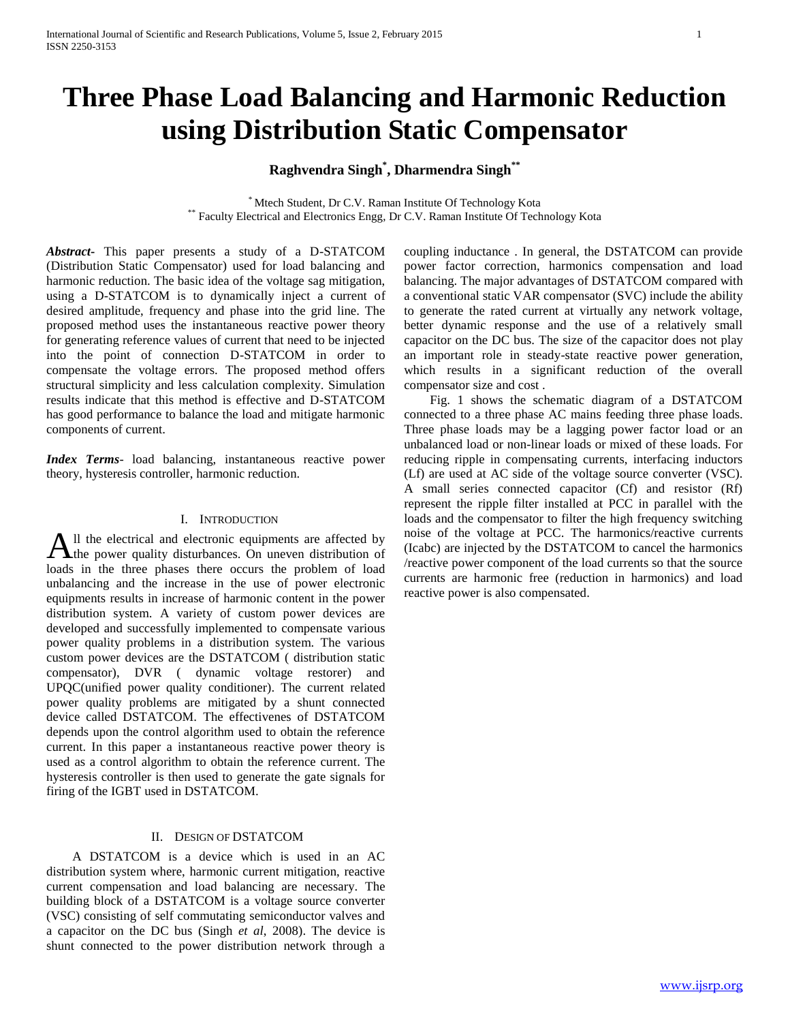# **Three Phase Load Balancing and Harmonic Reduction using Distribution Static Compensator**

**Raghvendra Singh\* , Dharmendra Singh\*\***

\* Mtech Student, Dr C.V. Raman Institute Of Technology Kota \*\* Faculty Electrical and Electronics Engg, Dr C.V. Raman Institute Of Technology Kota

*Abstract***-** This paper presents a study of a D-STATCOM (Distribution Static Compensator) used for load balancing and harmonic reduction. The basic idea of the voltage sag mitigation, using a D-STATCOM is to dynamically inject a current of desired amplitude, frequency and phase into the grid line. The proposed method uses the instantaneous reactive power theory for generating reference values of current that need to be injected into the point of connection D-STATCOM in order to compensate the voltage errors. The proposed method offers structural simplicity and less calculation complexity. Simulation results indicate that this method is effective and D-STATCOM has good performance to balance the load and mitigate harmonic components of current.

*Index Terms*- load balancing, instantaneous reactive power theory, hysteresis controller, harmonic reduction.

#### I. INTRODUCTION

ll the electrical and electronic equipments are affected by All the electrical and electronic equipments are affected by the power quality disturbances. On uneven distribution of loads in the three phases there occurs the problem of load unbalancing and the increase in the use of power electronic equipments results in increase of harmonic content in the power distribution system. A variety of custom power devices are developed and successfully implemented to compensate various power quality problems in a distribution system. The various custom power devices are the DSTATCOM ( distribution static compensator), DVR ( dynamic voltage restorer) and UPQC(unified power quality conditioner). The current related power quality problems are mitigated by a shunt connected device called DSTATCOM. The effectivenes of DSTATCOM depends upon the control algorithm used to obtain the reference current. In this paper a instantaneous reactive power theory is used as a control algorithm to obtain the reference current. The hysteresis controller is then used to generate the gate signals for firing of the IGBT used in DSTATCOM.

# II. DESIGN OF DSTATCOM

 A DSTATCOM is a device which is used in an AC distribution system where, harmonic current mitigation, reactive current compensation and load balancing are necessary. The building block of a DSTATCOM is a voltage source converter (VSC) consisting of self commutating semiconductor valves and a capacitor on the DC bus (Singh *et al*, 2008). The device is shunt connected to the power distribution network through a

coupling inductance . In general, the DSTATCOM can provide power factor correction, harmonics compensation and load balancing. The major advantages of DSTATCOM compared with a conventional static VAR compensator (SVC) include the ability to generate the rated current at virtually any network voltage, better dynamic response and the use of a relatively small capacitor on the DC bus. The size of the capacitor does not play an important role in steady-state reactive power generation, which results in a significant reduction of the overall compensator size and cost .

 Fig. 1 shows the schematic diagram of a DSTATCOM connected to a three phase AC mains feeding three phase loads. Three phase loads may be a lagging power factor load or an unbalanced load or non-linear loads or mixed of these loads. For reducing ripple in compensating currents, interfacing inductors (Lf) are used at AC side of the voltage source converter (VSC). A small series connected capacitor (Cf) and resistor (Rf) represent the ripple filter installed at PCC in parallel with the loads and the compensator to filter the high frequency switching noise of the voltage at PCC. The harmonics/reactive currents (Icabc) are injected by the DSTATCOM to cancel the harmonics /reactive power component of the load currents so that the source currents are harmonic free (reduction in harmonics) and load reactive power is also compensated.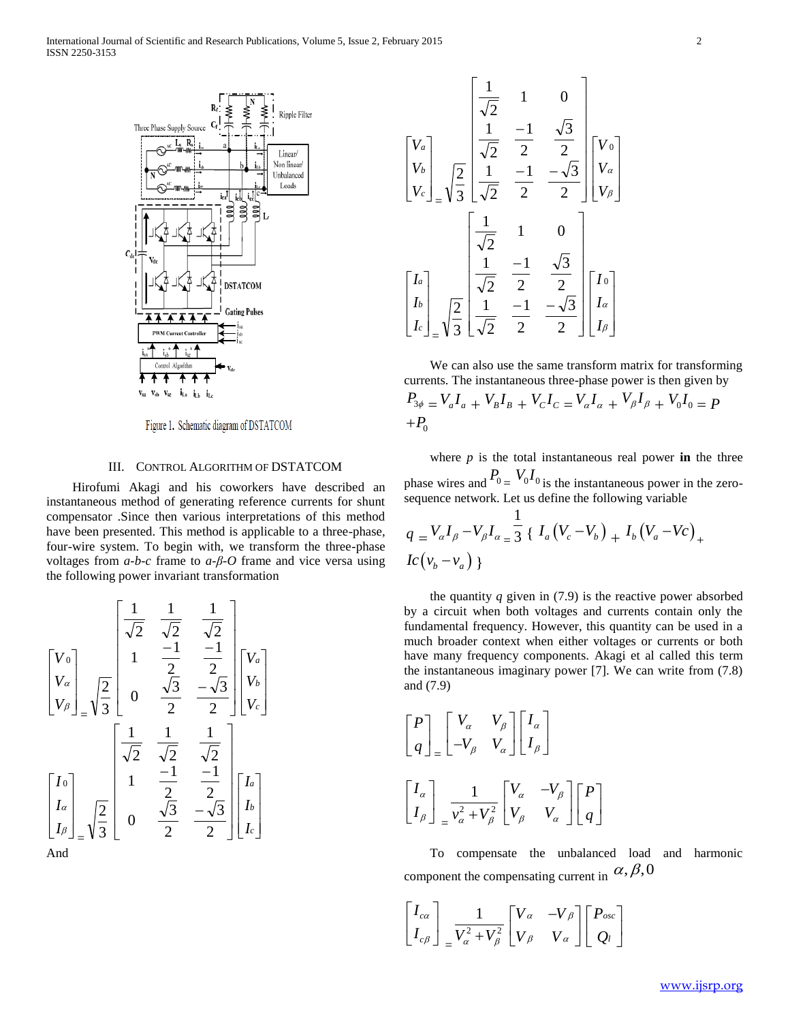

Figure 1. Schematic diagram of DSTATCOM

# III. CONTROL ALGORITHM OF DSTATCOM

 Hirofumi Akagi and his coworkers have described an instantaneous method of generating reference currents for shunt compensator .Since then various interpretations of this method have been presented. This method is applicable to a three-phase, four-wire system. To begin with, we transform the three-phase voltages from *a-b-c* frame to *a-β-O* frame and vice versa using the following power invariant transformation

$$
\begin{bmatrix}\nV_0 \\
V_a \\
V_B\n\end{bmatrix} = \sqrt{\frac{2}{3}} \begin{bmatrix}\n\frac{1}{\sqrt{2}} & \frac{1}{\sqrt{2}} \\
1 & \frac{-1}{2} & \frac{-1}{2} \\
0 & \frac{\sqrt{3}}{2} & \frac{-\sqrt{3}}{2}\n\end{bmatrix} \begin{bmatrix}\nV_a \\
V_b \\
V_c\n\end{bmatrix}
$$
\n
$$
\begin{bmatrix}\nI_0 \\
I_a \\
I_b\n\end{bmatrix} = \sqrt{\frac{2}{3}} \begin{bmatrix}\n\frac{1}{\sqrt{2}} & \frac{1}{\sqrt{2}} & \frac{1}{\sqrt{2}} \\
1 & \frac{-1}{2} & \frac{-1}{2} \\
0 & \frac{\sqrt{3}}{2} & \frac{-\sqrt{3}}{2}\n\end{bmatrix} \begin{bmatrix}\nI_a \\
I_b \\
I_c\n\end{bmatrix}
$$
\nAnd

$$
\begin{bmatrix}\nV_a \\
V_b \\
V_c\n\end{bmatrix} = \sqrt{\frac{2}{3}} \begin{bmatrix}\n\frac{1}{\sqrt{2}} & 1 & 0 \\
\frac{1}{\sqrt{2}} & \frac{-1}{2} & \frac{\sqrt{3}}{2} \\
\frac{1}{\sqrt{2}} & -\frac{1}{2} & -\frac{\sqrt{3}}{2}\n\end{bmatrix} \begin{bmatrix}\nV_0 \\
V_a \\
V_\beta\n\end{bmatrix}
$$
\n
$$
\begin{bmatrix}\nI_a \\
I_b \\
I_c\n\end{bmatrix} = \sqrt{\frac{2}{3}} \begin{bmatrix}\n\frac{1}{\sqrt{2}} & 1 & 0 \\
\frac{1}{\sqrt{2}} & \frac{-1}{2} & \frac{\sqrt{3}}{2} \\
\frac{1}{\sqrt{2}} & \frac{-1}{2} & -\frac{\sqrt{3}}{2}\n\end{bmatrix} \begin{bmatrix}\nI_0 \\
I_a \\
I_\beta\n\end{bmatrix}
$$

 We can also use the same transform matrix for transforming currents. The instantaneous three-phase power is then given by  $P_{3\phi} = V_a I_a + V_B I_B + V_C I_C = V_a I_a + V_\beta I_\beta + V_0 I_0 = P$  $+P_{0}$ 

where  $p$  is the total instantaneous real power **in** the three phase wires and  $P_0 = V_0 I_0$  is the instantaneous power in the zerosequence network. Let us define the following variable

$$
q = V_{\alpha}I_{\beta} - V_{\beta}I_{\alpha} = \frac{1}{3} \{ I_a (V_c - V_b) + I_b (V_a - V_c) + I_c (V_b - V_a) \}
$$

the quantity  $q$  given in  $(7.9)$  is the reactive power absorbed by a circuit when both voltages and currents contain only the fundamental frequency. However, this quantity can be used in a much broader context when either voltages or currents or both have many frequency components. Akagi et al called this term the instantaneous imaginary power [7]. We can write from (7.8) and (7.9)

$$
\begin{bmatrix} P \\ q \end{bmatrix} = \begin{bmatrix} V_{\alpha} & V_{\beta} \\ -V_{\beta} & V_{\alpha} \end{bmatrix} \begin{bmatrix} I_{\alpha} \\ I_{\beta} \end{bmatrix}
$$

$$
\begin{bmatrix} I_{\alpha} \\ I_{\beta} \end{bmatrix} = \frac{1}{v_{\alpha}^2 + V_{\beta}^2} \begin{bmatrix} V_{\alpha} & -V_{\beta} \\ V_{\beta} & V_{\alpha} \end{bmatrix} \begin{bmatrix} P \\ q \end{bmatrix}
$$

 To compensate the unbalanced load and harmonic component the compensating current in  $\alpha, \beta, 0$ 

$$
\begin{bmatrix} I_{c\alpha} \\ I_{c\beta} \end{bmatrix} = \frac{1}{V_{\alpha}^2 + V_{\beta}^2} \begin{bmatrix} V_{\alpha} & -V_{\beta} \\ V_{\beta} & V_{\alpha} \end{bmatrix} \begin{bmatrix} P_{osc} \\ Q_l \end{bmatrix}
$$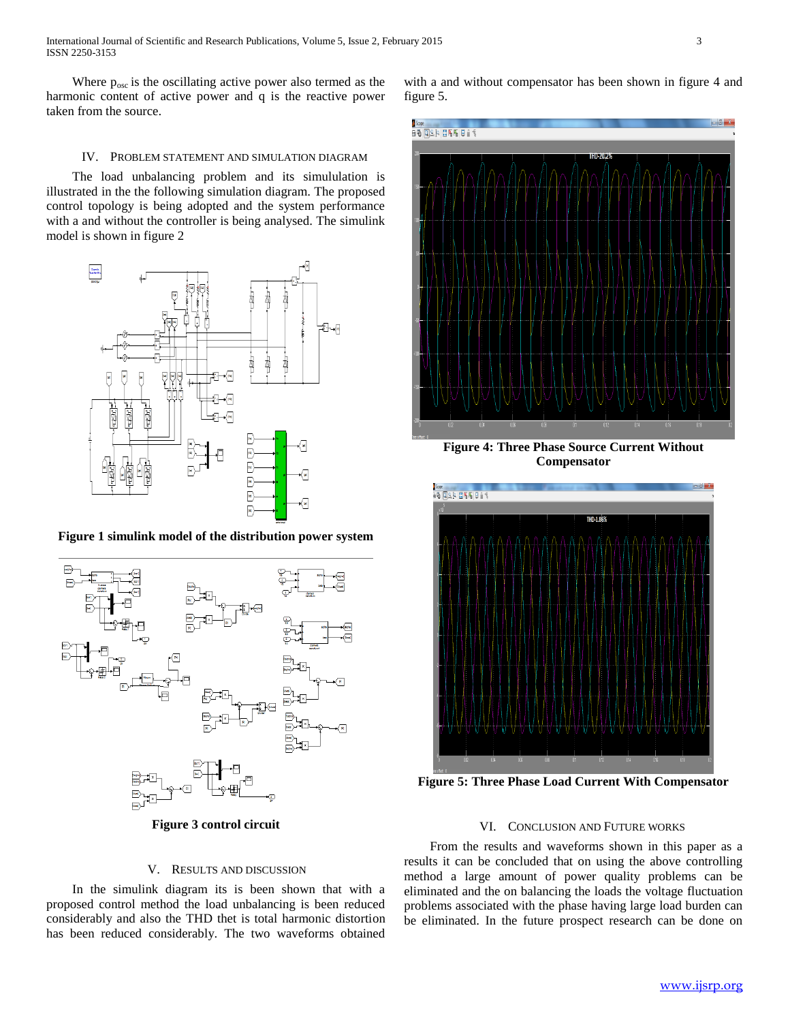Where  $p_{\text{osc}}$  is the oscillating active power also termed as the harmonic content of active power and q is the reactive power taken from the source.

with a and without compensator has been shown in figure 4 and figure 5.

# IV. PROBLEM STATEMENT AND SIMULATION DIAGRAM

 The load unbalancing problem and its simululation is illustrated in the the following simulation diagram. The proposed control topology is being adopted and the system performance with a and without the controller is being analysed. The simulink model is shown in figure 2



**Figure 1 simulink model of the distribution power system**



**Figure 3 control circuit**

# V. RESULTS AND DISCUSSION

 In the simulink diagram its is been shown that with a proposed control method the load unbalancing is been reduced considerably and also the THD thet is total harmonic distortion has been reduced considerably. The two waveforms obtained



**Figure 4: Three Phase Source Current Without Compensator**



**Figure 5: Three Phase Load Current With Compensator**

### VI. CONCLUSION AND FUTURE WORKS

 From the results and waveforms shown in this paper as a results it can be concluded that on using the above controlling method a large amount of power quality problems can be eliminated and the on balancing the loads the voltage fluctuation problems associated with the phase having large load burden can be eliminated. In the future prospect research can be done on